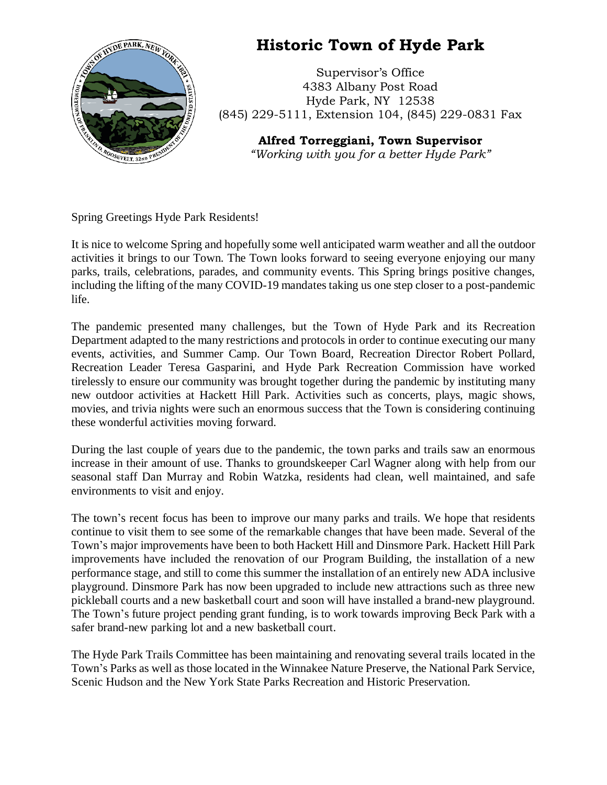

## **Historic Town of Hyde Park**

Supervisor's Office 4383 Albany Post Road Hyde Park, NY 12538 (845) 229-5111, Extension 104, (845) 229-0831 Fax

> **Alfred Torreggiani, Town Supervisor** *"Working with you for a better Hyde Park"*

Spring Greetings Hyde Park Residents!

It is nice to welcome Spring and hopefully some well anticipated warm weather and all the outdoor activities it brings to our Town. The Town looks forward to seeing everyone enjoying our many parks, trails, celebrations, parades, and community events. This Spring brings positive changes, including the lifting of the many COVID-19 mandates taking us one step closer to a post-pandemic life.

The pandemic presented many challenges, but the Town of Hyde Park and its Recreation Department adapted to the many restrictions and protocols in order to continue executing our many events, activities, and Summer Camp. Our Town Board, Recreation Director Robert Pollard, Recreation Leader Teresa Gasparini, and Hyde Park Recreation Commission have worked tirelessly to ensure our community was brought together during the pandemic by instituting many new outdoor activities at Hackett Hill Park. Activities such as concerts, plays, magic shows, movies, and trivia nights were such an enormous success that the Town is considering continuing these wonderful activities moving forward.

During the last couple of years due to the pandemic, the town parks and trails saw an enormous increase in their amount of use. Thanks to groundskeeper Carl Wagner along with help from our seasonal staff Dan Murray and Robin Watzka, residents had clean, well maintained, and safe environments to visit and enjoy.

The town's recent focus has been to improve our many parks and trails. We hope that residents continue to visit them to see some of the remarkable changes that have been made. Several of the Town's major improvements have been to both Hackett Hill and Dinsmore Park. Hackett Hill Park improvements have included the renovation of our Program Building, the installation of a new performance stage, and still to come this summer the installation of an entirely new ADA inclusive playground. Dinsmore Park has now been upgraded to include new attractions such as three new pickleball courts and a new basketball court and soon will have installed a brand-new playground. The Town's future project pending grant funding, is to work towards improving Beck Park with a safer brand-new parking lot and a new basketball court.

The Hyde Park Trails Committee has been maintaining and renovating several trails located in the Town's Parks as well as those located in the Winnakee Nature Preserve, the National Park Service, Scenic Hudson and the New York State Parks Recreation and Historic Preservation.